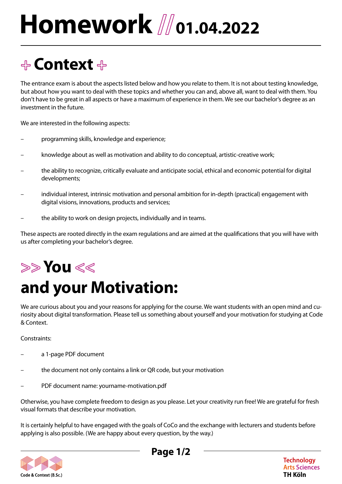# Homework *Mo1.04.2022*

### **+ Context +**

The entrance exam is about the aspects listed below and how you relate to them. It is not about testing knowledge, but about how you want to deal with these topics and whether you can and, above all, want to deal with them. You don't have to be great in all aspects or have a maximum of experience in them. We see our bachelor's degree as an investment in the future.

We are interested in the following aspects:

- programming skills, knowledge and experience;
- knowledge about as well as motivation and ability to do conceptual, artistic-creative work;
- the ability to recognize, critically evaluate and anticipate social, ethical and economic potential for digital developments;
- individual interest, intrinsic motivation and personal ambition for in-depth (practical) engagement with digital visions, innovations, products and services;
- the ability to work on design projects, individually and in teams.

These aspects are rooted directly in the exam regulations and are aimed at the qualifications that you will have with us after completing your bachelor's degree.

## **>> You <<**

## **and your Motivation:**

We are curious about you and your reasons for applying for the course. We want students with an open mind and curiosity about digital transformation. Please tell us something about yourself and your motivation for studying at Code & Context.

Constraints:

- a 1-page PDF document
- the document not only contains a link or QR code, but your motivation
- PDF document name: yourname-motivation.pdf

Otherwise, you have complete freedom to design as you please. Let your creativity run free! We are grateful for fresh visual formats that describe your motivation.

It is certainly helpful to have engaged with the goals of CoCo and the exchange with lecturers and students before applying is also possible. (We are happy about every question, by the way.)